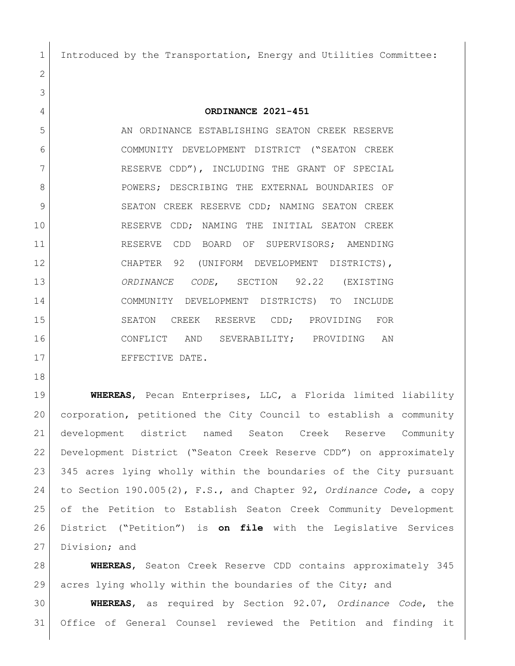Introduced by the Transportation, Energy and Utilities Committee:

## **ORDINANCE 2021-451**

5 AN ORDINANCE ESTABLISHING SEATON CREEK RESERVE COMMUNITY DEVELOPMENT DISTRICT ("SEATON CREEK RESERVE CDD"), INCLUDING THE GRANT OF SPECIAL 8 POWERS; DESCRIBING THE EXTERNAL BOUNDARIES OF 9 SEATON CREEK RESERVE CDD; NAMING SEATON CREEK RESERVE CDD; NAMING THE INITIAL SEATON CREEK 11 RESERVE CDD BOARD OF SUPERVISORS; AMENDING CHAPTER 92 (UNIFORM DEVELOPMENT DISTRICTS), *ORDINANCE CODE*, SECTION 92.22 (EXISTING COMMUNITY DEVELOPMENT DISTRICTS) TO INCLUDE SEATON CREEK RESERVE CDD; PROVIDING FOR CONFLICT AND SEVERABILITY; PROVIDING AN 17 EFFECTIVE DATE.

 **WHEREAS**, Pecan Enterprises, LLC, a Florida limited liability corporation, petitioned the City Council to establish a community development district named Seaton Creek Reserve Community Development District ("Seaton Creek Reserve CDD") on approximately 345 acres lying wholly within the boundaries of the City pursuant to Section 190.005(2), F.S., and Chapter 92, *Ordinance Code*, a copy of the Petition to Establish Seaton Creek Community Development District ("Petition") is **on file** with the Legislative Services 27 Division; and

 **WHEREAS**, Seaton Creek Reserve CDD contains approximately 345 acres lying wholly within the boundaries of the City; and

 **WHEREAS**, as required by Section 92.07, *Ordinance Code*, the Office of General Counsel reviewed the Petition and finding it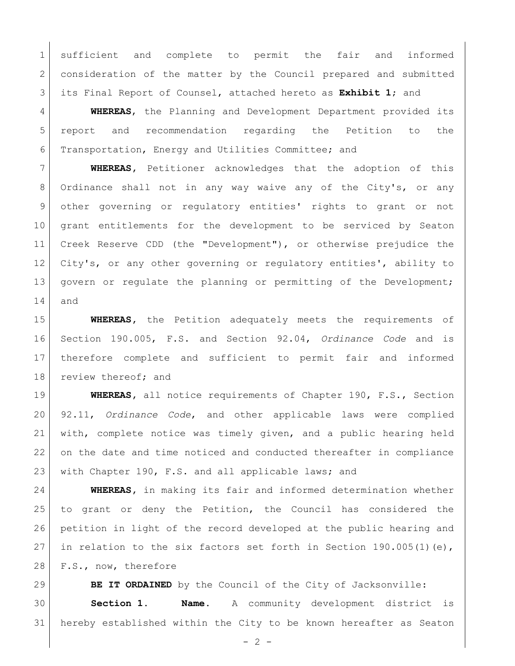sufficient and complete to permit the fair and informed 2 consideration of the matter by the Council prepared and submitted its Final Report of Counsel, attached hereto as **Exhibit 1**; and

 **WHEREAS**, the Planning and Development Department provided its report and recommendation regarding the Petition to the Transportation, Energy and Utilities Committee; and

 **WHEREAS,** Petitioner acknowledges that the adoption of this 8 Ordinance shall not in any way waive any of the City's, or any other governing or regulatory entities' rights to grant or not grant entitlements for the development to be serviced by Seaton Creek Reserve CDD (the "Development"), or otherwise prejudice the 12 City's, or any other governing or regulatory entities', ability to 13 govern or regulate the planning or permitting of the Development; and

 **WHEREAS,** the Petition adequately meets the requirements of Section 190.005, F.S. and Section 92.04, *Ordinance Code* and is therefore complete and sufficient to permit fair and informed 18 review thereof; and

 **WHEREAS,** all notice requirements of Chapter 190, F.S., Section 92.11, *Ordinance Code*, and other applicable laws were complied with, complete notice was timely given, and a public hearing held on the date and time noticed and conducted thereafter in compliance with Chapter 190, F.S. and all applicable laws; and

 **WHEREAS,** in making its fair and informed determination whether to grant or deny the Petition, the Council has considered the petition in light of the record developed at the public hearing and 27 in relation to the six factors set forth in Section 190.005(1)(e), 28 F.S., now, therefore

**BE IT ORDAINED** by the Council of the City of Jacksonville: **Section 1. Name.** A community development district is hereby established within the City to be known hereafter as Seaton

 $- 2 -$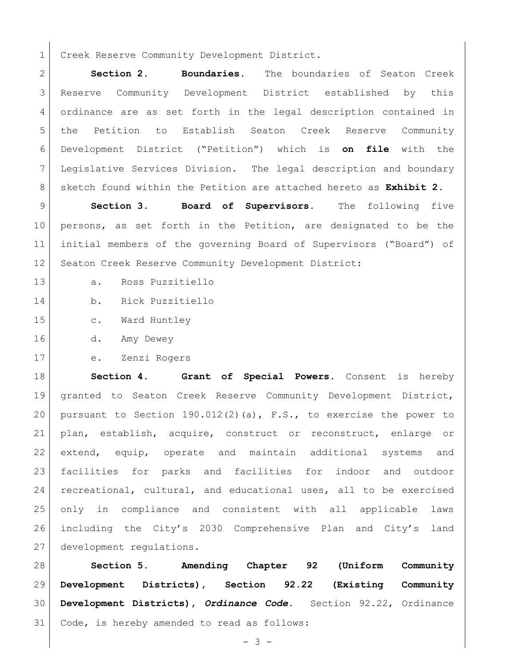1 Creek Reserve Community Development District.

 **Section 2**. **Boundaries**. The boundaries of Seaton Creek Reserve Community Development District established by this ordinance are as set forth in the legal description contained in the Petition to Establish Seaton Creek Reserve Community Development District ("Petition") which is **on file** with the Legislative Services Division. The legal description and boundary sketch found within the Petition are attached hereto as **Exhibit 2**.

 **Section 3. Board of Supervisors.** The following five persons, as set forth in the Petition, are designated to be the initial members of the governing Board of Supervisors ("Board") of 12 Seaton Creek Reserve Community Development District:

- a. Ross Puzzitiello
- b. Rick Puzzitiello
- 15 c. Ward Huntley
- d. Amy Dewey
- e. Zenzi Rogers

 **Section 4. Grant of Special Powers.** Consent is hereby granted to Seaton Creek Reserve Community Development District, 20 | pursuant to Section 190.012(2)(a),  $F.S.,$  to exercise the power to plan, establish, acquire, construct or reconstruct, enlarge or extend, equip, operate and maintain additional systems and facilities for parks and facilities for indoor and outdoor recreational, cultural, and educational uses, all to be exercised only in compliance and consistent with all applicable laws including the City's 2030 Comprehensive Plan and City's land development regulations.

 **Section 5. Amending Chapter 92 (Uniform Community Development Districts), Section 92.22 (Existing Community Development Districts),** *Ordinance Code***.** Section 92.22, Ordinance Code, is hereby amended to read as follows: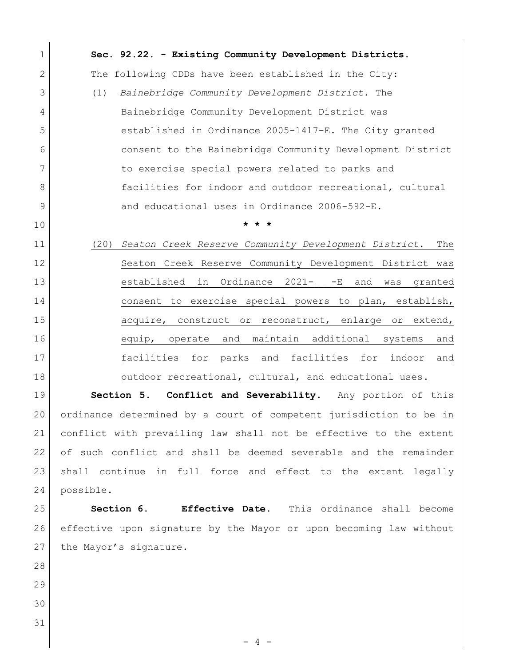- 4 - **Sec. 92.22. - Existing Community Development Districts.**  2 The following CDDs have been established in the City: (1) *Bainebridge Community Development District.* The 4 Bainebridge Community Development District was 5 stablished in Ordinance 2005-1417-E. The City granted consent to the Bainebridge Community Development District 7 to exercise special powers related to parks and **facilities** for indoor and outdoor recreational, cultural 9 and educational uses in Ordinance 2006-592-E. **\* \* \***  (20) *Seaton Creek Reserve Community Development District.* The 12 Seaton Creek Reserve Community Development District was 13 established in Ordinance 2021- -E and was granted consent to exercise special powers to plan, establish, 15 acquire, construct or reconstruct, enlarge or extend, equip, operate and maintain additional systems and facilities for parks and facilities for indoor and 18 outdoor recreational, cultural, and educational uses. **Section 5. Conflict and Severability**. Any portion of this ordinance determined by a court of competent jurisdiction to be in conflict with prevailing law shall not be effective to the extent of such conflict and shall be deemed severable and the remainder 23 shall continue in full force and effect to the extent legally possible. **Section 6. Effective Date.** This ordinance shall become effective upon signature by the Mayor or upon becoming law without 27 the Mayor's signature.